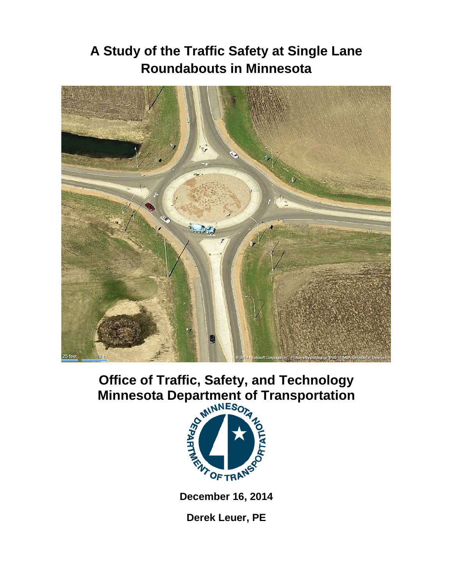### **A Study of the Traffic Safety at Single Lane Roundabouts in Minnesota**



# **Office of Traffic, Safety, and Technology**



**December 16, 2014**

**Derek Leuer, PE**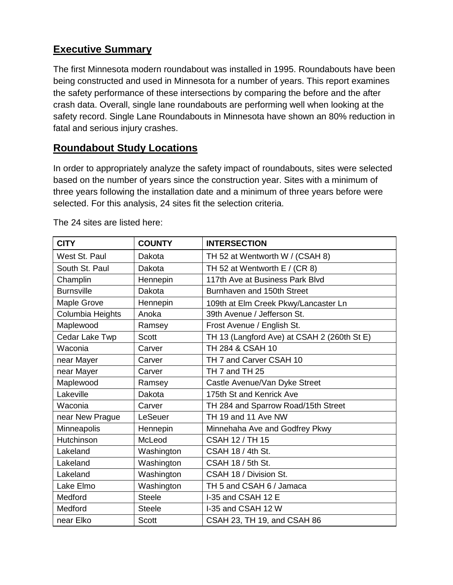### **Executive Summary**

The first Minnesota modern roundabout was installed in 1995. Roundabouts have been being constructed and used in Minnesota for a number of years. This report examines the safety performance of these intersections by comparing the before and the after crash data. Overall, single lane roundabouts are performing well when looking at the safety record. Single Lane Roundabouts in Minnesota have shown an 80% reduction in fatal and serious injury crashes.

#### **Roundabout Study Locations**

In order to appropriately analyze the safety impact of roundabouts, sites were selected based on the number of years since the construction year. Sites with a minimum of three years following the installation date and a minimum of three years before were selected. For this analysis, 24 sites fit the selection criteria.

| <b>CITY</b>       | <b>COUNTY</b> | <b>INTERSECTION</b>                         |  |  |  |
|-------------------|---------------|---------------------------------------------|--|--|--|
| West St. Paul     | Dakota        | TH 52 at Wentworth W / (CSAH 8)             |  |  |  |
| South St. Paul    | Dakota        | TH 52 at Wentworth E $/$ (CR 8)             |  |  |  |
| Champlin          | Hennepin      | 117th Ave at Business Park Blyd             |  |  |  |
| <b>Burnsville</b> | Dakota        | Burnhaven and 150th Street                  |  |  |  |
| Maple Grove       | Hennepin      | 109th at Elm Creek Pkwy/Lancaster Ln        |  |  |  |
| Columbia Heights  | Anoka         | 39th Avenue / Jefferson St.                 |  |  |  |
| Maplewood         | Ramsey        | Frost Avenue / English St.                  |  |  |  |
| Cedar Lake Twp    | <b>Scott</b>  | TH 13 (Langford Ave) at CSAH 2 (260th St E) |  |  |  |
| Waconia           | Carver        | TH 284 & CSAH 10                            |  |  |  |
| near Mayer        | Carver        | TH 7 and Carver CSAH 10                     |  |  |  |
| near Mayer        | Carver        | TH 7 and TH 25                              |  |  |  |
| Maplewood         | Ramsey        | Castle Avenue/Van Dyke Street               |  |  |  |
| Lakeville         | Dakota        | 175th St and Kenrick Ave                    |  |  |  |
| Waconia           | Carver        | TH 284 and Sparrow Road/15th Street         |  |  |  |
| near New Prague   | LeSeuer       | TH 19 and 11 Ave NW                         |  |  |  |
| Minneapolis       | Hennepin      | Minnehaha Ave and Godfrey Pkwy              |  |  |  |
| Hutchinson        | McLeod        | <b>CSAH 12 / TH 15</b>                      |  |  |  |
| Lakeland          | Washington    | <b>CSAH 18 / 4th St.</b>                    |  |  |  |
| Lakeland          | Washington    | <b>CSAH 18 / 5th St.</b>                    |  |  |  |
| Lakeland          | Washington    | CSAH 18 / Division St.                      |  |  |  |
| Lake Elmo         | Washington    | TH 5 and CSAH 6 / Jamaca                    |  |  |  |
| Medford           | <b>Steele</b> | I-35 and CSAH 12 E                          |  |  |  |
| Medford           | <b>Steele</b> | I-35 and CSAH 12 W                          |  |  |  |
| near Elko         | <b>Scott</b>  | CSAH 23, TH 19, and CSAH 86                 |  |  |  |

The 24 sites are listed here: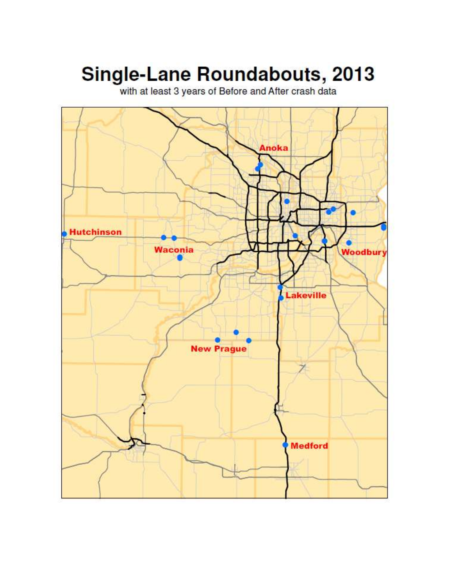## **Single-Lane Roundabouts, 2013**

with at least 3 years of Before and After crash data

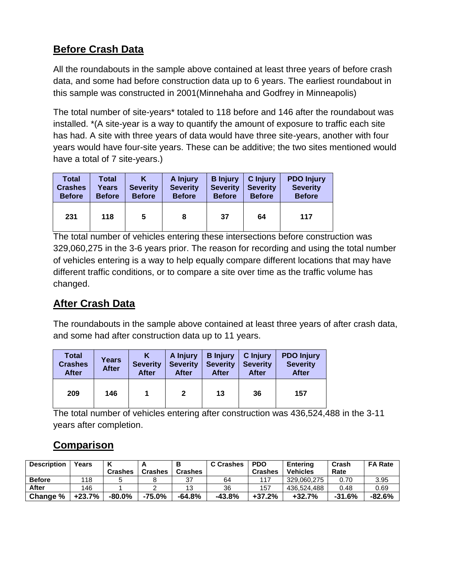### **Before Crash Data**

All the roundabouts in the sample above contained at least three years of before crash data, and some had before construction data up to 6 years. The earliest roundabout in this sample was constructed in 2001(Minnehaha and Godfrey in Minneapolis)

The total number of site-years\* totaled to 118 before and 146 after the roundabout was installed. \*(A site-year is a way to quantify the amount of exposure to traffic each site has had. A site with three years of data would have three site-years, another with four years would have four-site years. These can be additive; the two sites mentioned would have a total of 7 site-years.)

| <b>Total</b><br><b>Crashes</b><br><b>Before</b> | Total<br>Years<br><b>Before</b> | <b>Severity</b><br><b>Before</b> | A Injury<br><b>Severity</b><br><b>Before</b> | <b>B</b> Injury<br><b>Severity</b><br><b>Before</b> | <b>C</b> Injury<br><b>Severity</b><br><b>Before</b> | <b>PDO Injury</b><br><b>Severity</b><br><b>Before</b> |
|-------------------------------------------------|---------------------------------|----------------------------------|----------------------------------------------|-----------------------------------------------------|-----------------------------------------------------|-------------------------------------------------------|
| 231                                             | 118                             | 5                                | 8                                            | 37                                                  | 64                                                  | 117                                                   |

The total number of vehicles entering these intersections before construction was 329,060,275 in the 3-6 years prior. The reason for recording and using the total number of vehicles entering is a way to help equally compare different locations that may have different traffic conditions, or to compare a site over time as the traffic volume has changed.

### **After Crash Data**

The roundabouts in the sample above contained at least three years of after crash data, and some had after construction data up to 11 years.

| <b>Total</b><br><b>Crashes</b><br><b>After</b> | Years<br><b>After</b> | <b>Severity</b><br><b>After</b> | A Injury<br><b>Severity</b><br><b>After</b> | <b>B</b> Injury<br><b>Severity</b><br><b>After</b> | <b>C</b> Injury<br><b>Severity</b><br><b>After</b> | <b>PDO Injury</b><br><b>Severity</b><br><b>After</b> |  |
|------------------------------------------------|-----------------------|---------------------------------|---------------------------------------------|----------------------------------------------------|----------------------------------------------------|------------------------------------------------------|--|
| 209                                            | 146                   |                                 | $\mathbf{2}$                                | 13                                                 | 36                                                 | 157                                                  |  |

The total number of vehicles entering after construction was 436,524,488 in the 3-11 years after completion.

### **Comparison**

| <b>Description</b> | Years    |                |                |                | <b>C</b> Crashes | <b>PDO</b>     | <b>Entering</b> | Crash    | <b>FA Rate</b> |
|--------------------|----------|----------------|----------------|----------------|------------------|----------------|-----------------|----------|----------------|
|                    |          | <b>Crashes</b> | <b>Crashes</b> | <b>Crashes</b> |                  | <b>Crashes</b> | <b>Vehicles</b> | Rate     |                |
| <b>Before</b>      | 118      |                |                | 27<br>، ب      | 64               | 117            | 329.060.275     | 0.70     | 3.95           |
| <b>After</b>       | 146      |                |                | 13             | 36               | 157            | 436.524.488     | 0.48     | 0.69           |
| Change %           | $+23.7%$ | $-80.0%$       | $-75.0%$       | $-64.8%$       | $-43.8%$         | +37.2%         | +32.7%          | $-31.6%$ | $-82.6%$       |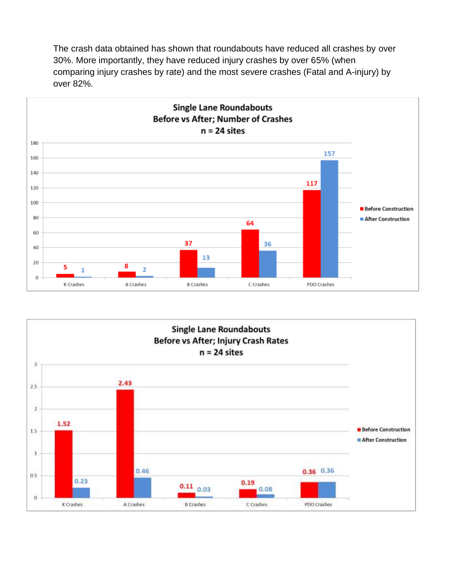The crash data obtained has shown that roundabouts have reduced all crashes by over 30%. More importantly, they have reduced injury crashes by over 65% (when comparing injury crashes by rate) and the most severe crashes (Fatal and A-injury) by over 82%.